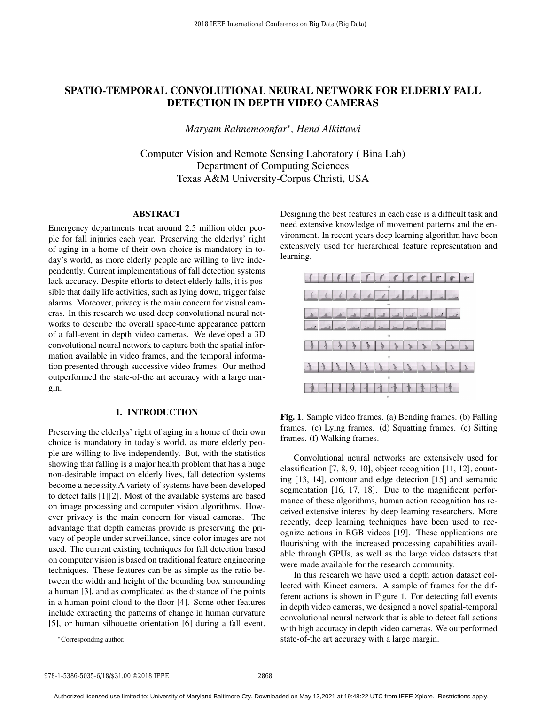# SPATIO-TEMPORAL CONVOLUTIONAL NEURAL NETWORK FOR ELDERLY FALL DETECTION IN DEPTH VIDEO CAMERAS

*Maryam Rahnemoonfar*<sup>∗</sup> *, Hend Alkittawi*

Computer Vision and Remote Sensing Laboratory ( Bina Lab) Department of Computing Sciences Texas A&M University-Corpus Christi, USA

#### ABSTRACT

Emergency departments treat around 2.5 million older people for fall injuries each year. Preserving the elderlys' right of aging in a home of their own choice is mandatory in today's world, as more elderly people are willing to live independently. Current implementations of fall detection systems lack accuracy. Despite efforts to detect elderly falls, it is possible that daily life activities, such as lying down, trigger false alarms. Moreover, privacy is the main concern for visual cameras. In this research we used deep convolutional neural networks to describe the overall space-time appearance pattern of a fall-event in depth video cameras. We developed a 3D convolutional neural network to capture both the spatial information available in video frames, and the temporal information presented through successive video frames. Our method outperformed the state-of-the art accuracy with a large margin.

# 1. INTRODUCTION

Preserving the elderlys' right of aging in a home of their own choice is mandatory in today's world, as more elderly people are willing to live independently. But, with the statistics showing that falling is a major health problem that has a huge non-desirable impact on elderly lives, fall detection systems become a necessity.A variety of systems have been developed to detect falls [1][2]. Most of the available systems are based on image processing and computer vision algorithms. However privacy is the main concern for visual cameras. The advantage that depth cameras provide is preserving the privacy of people under surveillance, since color images are not used. The current existing techniques for fall detection based on computer vision is based on traditional feature engineering techniques. These features can be as simple as the ratio between the width and height of the bounding box surrounding a human [3], and as complicated as the distance of the points in a human point cloud to the floor [4]. Some other features include extracting the patterns of change in human curvature [5], or human silhouette orientation [6] during a fall event.

Designing the best features in each case is a difficult task and need extensive knowledge of movement patterns and the environment. In recent years deep learning algorithm have been extensively used for hierarchical feature representation and learning.



Fig. 1. Sample video frames. (a) Bending frames. (b) Falling frames. (c) Lying frames. (d) Squatting frames. (e) Sitting frames. (f) Walking frames.

Convolutional neural networks are extensively used for classification [7, 8, 9, 10], object recognition [11, 12], counting [13, 14], contour and edge detection [15] and semantic segmentation [16, 17, 18]. Due to the magnificent performance of these algorithms, human action recognition has received extensive interest by deep learning researchers. More recently, deep learning techniques have been used to recognize actions in RGB videos [19]. These applications are flourishing with the increased processing capabilities available through GPUs, as well as the large video datasets that were made available for the research community.

In this research we have used a depth action dataset collected with Kinect camera. A sample of frames for the different actions is shown in Figure 1. For detecting fall events in depth video cameras, we designed a novel spatial-temporal convolutional neural network that is able to detect fall actions with high accuracy in depth video cameras. We outperformed state-of-the art accuracy with a large margin.

<sup>∗</sup>Corresponding author.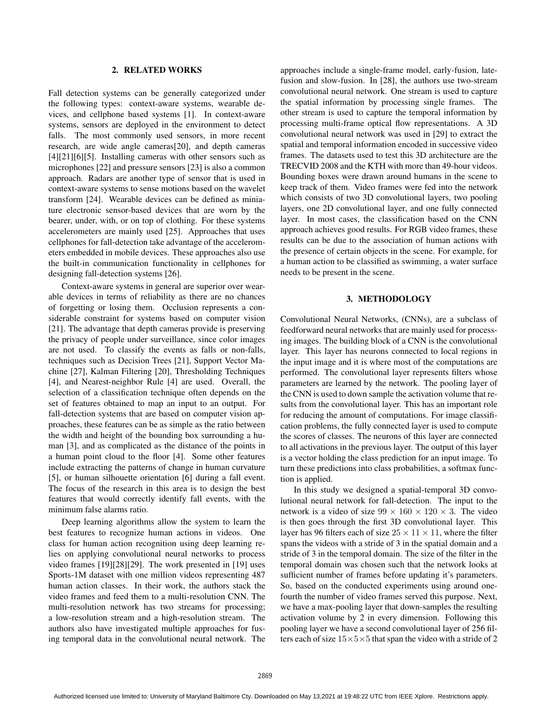## 2. RELATED WORKS

Fall detection systems can be generally categorized under the following types: context-aware systems, wearable devices, and cellphone based systems [1]. In context-aware systems, sensors are deployed in the environment to detect falls. The most commonly used sensors, in more recent research, are wide angle cameras[20], and depth cameras [4][21][6][5]. Installing cameras with other sensors such as microphones [22] and pressure sensors [23] is also a common approach. Radars are another type of sensor that is used in context-aware systems to sense motions based on the wavelet transform [24]. Wearable devices can be defined as miniature electronic sensor-based devices that are worn by the bearer, under, with, or on top of clothing. For these systems accelerometers are mainly used [25]. Approaches that uses cellphones for fall-detection take advantage of the accelerometers embedded in mobile devices. These approaches also use the built-in communication functionality in cellphones for designing fall-detection systems [26].

Context-aware systems in general are superior over wearable devices in terms of reliability as there are no chances of forgetting or losing them. Occlusion represents a considerable constraint for systems based on computer vision [21]. The advantage that depth cameras provide is preserving the privacy of people under surveillance, since color images are not used. To classify the events as falls or non-falls, techniques such as Decision Trees [21], Support Vector Machine [27], Kalman Filtering [20], Thresholding Techniques [4], and Nearest-neighbor Rule [4] are used. Overall, the selection of a classification technique often depends on the set of features obtained to map an input to an output. For fall-detection systems that are based on computer vision approaches, these features can be as simple as the ratio between the width and height of the bounding box surrounding a human [3], and as complicated as the distance of the points in a human point cloud to the floor [4]. Some other features include extracting the patterns of change in human curvature [5], or human silhouette orientation [6] during a fall event. The focus of the research in this area is to design the best features that would correctly identify fall events, with the minimum false alarms ratio.

Deep learning algorithms allow the system to learn the best features to recognize human actions in videos. One class for human action recognition using deep learning relies on applying convolutional neural networks to process video frames [19][28][29]. The work presented in [19] uses Sports-1M dataset with one million videos representing 487 human action classes. In their work, the authors stack the video frames and feed them to a multi-resolution CNN. The multi-resolution network has two streams for processing; a low-resolution stream and a high-resolution stream. The authors also have investigated multiple approaches for fusing temporal data in the convolutional neural network. The approaches include a single-frame model, early-fusion, latefusion and slow-fusion. In [28], the authors use two-stream convolutional neural network. One stream is used to capture the spatial information by processing single frames. The other stream is used to capture the temporal information by processing multi-frame optical flow representations. A 3D convolutional neural network was used in [29] to extract the spatial and temporal information encoded in successive video frames. The datasets used to test this 3D architecture are the TRECVID 2008 and the KTH with more than 49-hour videos. Bounding boxes were drawn around humans in the scene to keep track of them. Video frames were fed into the network which consists of two 3D convolutional layers, two pooling layers, one 2D convolutional layer, and one fully connected layer. In most cases, the classification based on the CNN approach achieves good results. For RGB video frames, these results can be due to the association of human actions with the presence of certain objects in the scene. For example, for a human action to be classified as swimming, a water surface needs to be present in the scene.

## 3. METHODOLOGY

Convolutional Neural Networks, (CNNs), are a subclass of feedforward neural networks that are mainly used for processing images. The building block of a CNN is the convolutional layer. This layer has neurons connected to local regions in the input image and it is where most of the computations are performed. The convolutional layer represents filters whose parameters are learned by the network. The pooling layer of the CNN is used to down sample the activation volume that results from the convolutional layer. This has an important role for reducing the amount of computations. For image classification problems, the fully connected layer is used to compute the scores of classes. The neurons of this layer are connected to all activations in the previous layer. The output of this layer is a vector holding the class prediction for an input image. To turn these predictions into class probabilities, a softmax function is applied.

In this study we designed a spatial-temporal 3D convolutional neural network for fall-detection. The input to the network is a video of size  $99 \times 160 \times 120 \times 3$ . The video is then goes through the first 3D convolutional layer. This layer has 96 filters each of size  $25 \times 11 \times 11$ , where the filter spans the videos with a stride of 3 in the spatial domain and a stride of 3 in the temporal domain. The size of the filter in the temporal domain was chosen such that the network looks at sufficient number of frames before updating it's parameters. So, based on the conducted experiments using around onefourth the number of video frames served this purpose. Next, we have a max-pooling layer that down-samples the resulting activation volume by 2 in every dimension. Following this pooling layer we have a second convolutional layer of 256 filters each of size  $15\times5\times5$  that span the video with a stride of 2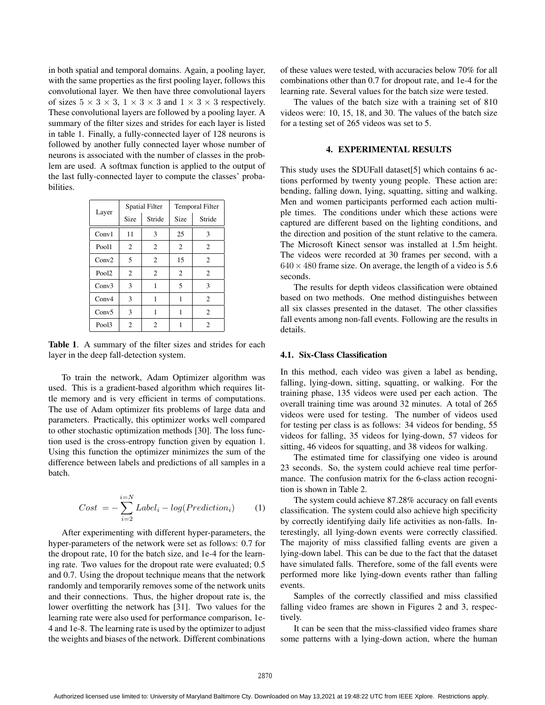in both spatial and temporal domains. Again, a pooling layer, with the same properties as the first pooling layer, follows this convolutional layer. We then have three convolutional layers of sizes  $5 \times 3 \times 3$ ,  $1 \times 3 \times 3$  and  $1 \times 3 \times 3$  respectively. These convolutional layers are followed by a pooling layer. A summary of the filter sizes and strides for each layer is listed in table 1. Finally, a fully-connected layer of 128 neurons is followed by another fully connected layer whose number of neurons is associated with the number of classes in the problem are used. A softmax function is applied to the output of the last fully-connected layer to compute the classes' probabilities.

| Layer             |                | <b>Spatial Filter</b> | <b>Temporal Filter</b> |                |  |
|-------------------|----------------|-----------------------|------------------------|----------------|--|
|                   | Size           | Stride                | Size                   | Stride         |  |
| Conv1             | 11             | 3                     | 25                     | 3              |  |
| Pool1             | $\overline{2}$ | $\overline{c}$        | $\overline{2}$         | $\overline{c}$ |  |
| Conv2             | 5              | $\overline{c}$        | 15                     | $\overline{c}$ |  |
| Pool <sub>2</sub> | $\overline{2}$ | 2                     | $\overline{2}$         | $\overline{2}$ |  |
| Conv3             | 3              | 1                     | 5                      | 3              |  |
| Conv4             | 3              | 1                     | 1                      | $\overline{c}$ |  |
| Conv5             | 3              | 1                     | 1                      | $\overline{c}$ |  |
| Pool3             | $\overline{c}$ | 2                     |                        | 2              |  |

Table 1. A summary of the filter sizes and strides for each layer in the deep fall-detection system.

To train the network, Adam Optimizer algorithm was used. This is a gradient-based algorithm which requires little memory and is very efficient in terms of computations. The use of Adam optimizer fits problems of large data and parameters. Practically, this optimizer works well compared to other stochastic optimization methods [30]. The loss function used is the cross-entropy function given by equation 1. Using this function the optimizer minimizes the sum of the difference between labels and predictions of all samples in a batch.

$$
Cost = -\sum_{i=2}^{i=N} Label_i - log(Prediction_i)
$$
 (1)

After experimenting with different hyper-parameters, the hyper-parameters of the network were set as follows: 0.7 for the dropout rate, 10 for the batch size, and 1e-4 for the learning rate. Two values for the dropout rate were evaluated; 0.5 and 0.7. Using the dropout technique means that the network randomly and temporarily removes some of the network units and their connections. Thus, the higher dropout rate is, the lower overfitting the network has [31]. Two values for the learning rate were also used for performance comparison, 1e-4 and 1e-8. The learning rate is used by the optimizer to adjust the weights and biases of the network. Different combinations

of these values were tested, with accuracies below 70% for all combinations other than 0.7 for dropout rate, and 1e-4 for the learning rate. Several values for the batch size were tested.

The values of the batch size with a training set of 810 videos were: 10, 15, 18, and 30. The values of the batch size for a testing set of 265 videos was set to 5.

## 4. EXPERIMENTAL RESULTS

This study uses the SDUFall dataset[5] which contains 6 actions performed by twenty young people. These action are: bending, falling down, lying, squatting, sitting and walking. Men and women participants performed each action multiple times. The conditions under which these actions were captured are different based on the lighting conditions, and the direction and position of the stunt relative to the camera. The Microsoft Kinect sensor was installed at 1.5m height. The videos were recorded at 30 frames per second, with a  $640 \times 480$  frame size. On average, the length of a video is 5.6 seconds.

The results for depth videos classification were obtained based on two methods. One method distinguishes between all six classes presented in the dataset. The other classifies fall events among non-fall events. Following are the results in details.

#### 4.1. Six-Class Classification

In this method, each video was given a label as bending, falling, lying-down, sitting, squatting, or walking. For the training phase, 135 videos were used per each action. The overall training time was around 32 minutes. A total of 265 videos were used for testing. The number of videos used for testing per class is as follows: 34 videos for bending, 55 videos for falling, 35 videos for lying-down, 57 videos for sitting, 46 videos for squatting, and 38 videos for walking.

The estimated time for classifying one video is around 23 seconds. So, the system could achieve real time performance. The confusion matrix for the 6-class action recognition is shown in Table 2.

The system could achieve 87.28% accuracy on fall events classification. The system could also achieve high specificity by correctly identifying daily life activities as non-falls. Interestingly, all lying-down events were correctly classified. The majority of miss classified falling events are given a lying-down label. This can be due to the fact that the dataset have simulated falls. Therefore, some of the fall events were performed more like lying-down events rather than falling events.

Samples of the correctly classified and miss classified falling video frames are shown in Figures 2 and 3, respectively.

It can be seen that the miss-classified video frames share some patterns with a lying-down action, where the human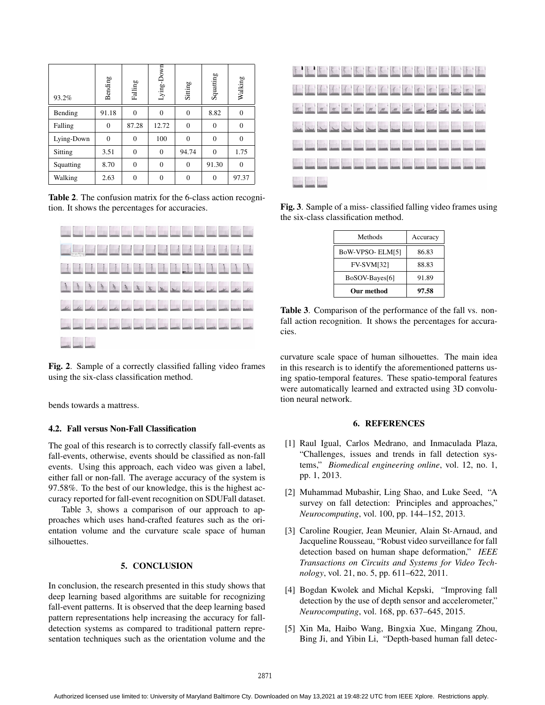| 93.2%      | Bending  | Falling  | Lying-Down   | Sitting        | Squatting      | Walking      |
|------------|----------|----------|--------------|----------------|----------------|--------------|
| Bending    | 91.18    | $\theta$ | $\theta$     | $\overline{0}$ | 8.82           | 0            |
| Falling    | 0        | 87.28    | 12.72        | $\overline{0}$ | 0              | 0            |
| Lying-Down | $\theta$ | $\theta$ | 100          | $\overline{0}$ | $\mathbf{0}$   | $\mathbf{0}$ |
| Sitting    | 3.51     | $\Omega$ | $\mathbf{0}$ | 94.74          | $\overline{0}$ | 1.75         |
| Squatting  | 8.70     | $\theta$ | $\theta$     | $\overline{0}$ | 91.30          | $\theta$     |
| Walking    | 2.63     | $\Omega$ | $\theta$     | $\Omega$       | $\Omega$       | 97.37        |

Table 2. The confusion matrix for the 6-class action recognition. It shows the percentages for accuracies.



Fig. 2. Sample of a correctly classified falling video frames using the six-class classification method.

bends towards a mattress.

## 4.2. Fall versus Non-Fall Classification

The goal of this research is to correctly classify fall-events as fall-events, otherwise, events should be classified as non-fall events. Using this approach, each video was given a label, either fall or non-fall. The average accuracy of the system is 97.58%. To the best of our knowledge, this is the highest accuracy reported for fall-event recognition on SDUFall dataset.

Table 3, shows a comparison of our approach to approaches which uses hand-crafted features such as the orientation volume and the curvature scale space of human silhouettes.

# 5. CONCLUSION

In conclusion, the research presented in this study shows that deep learning based algorithms are suitable for recognizing fall-event patterns. It is observed that the deep learning based pattern representations help increasing the accuracy for falldetection systems as compared to traditional pattern representation techniques such as the orientation volume and the



Fig. 3. Sample of a miss- classified falling video frames using the six-class classification method.

| Methods           | Accuracy |  |  |
|-------------------|----------|--|--|
| BoW-VPSO-ELM[5]   | 86.83    |  |  |
| <b>FV-SVM[32]</b> | 88.83    |  |  |
| BoSOV-Bayes[6]    | 91.89    |  |  |
| Our method        | 97.58    |  |  |

Table 3. Comparison of the performance of the fall vs. nonfall action recognition. It shows the percentages for accuracies.

curvature scale space of human silhouettes. The main idea in this research is to identify the aforementioned patterns using spatio-temporal features. These spatio-temporal features were automatically learned and extracted using 3D convolution neural network.

#### 6. REFERENCES

- [1] Raul Igual, Carlos Medrano, and Inmaculada Plaza, "Challenges, issues and trends in fall detection systems," *Biomedical engineering online*, vol. 12, no. 1, pp. 1, 2013.
- [2] Muhammad Mubashir, Ling Shao, and Luke Seed, "A survey on fall detection: Principles and approaches," *Neurocomputing*, vol. 100, pp. 144–152, 2013.
- [3] Caroline Rougier, Jean Meunier, Alain St-Arnaud, and Jacqueline Rousseau, "Robust video surveillance for fall detection based on human shape deformation," *IEEE Transactions on Circuits and Systems for Video Technology*, vol. 21, no. 5, pp. 611–622, 2011.
- [4] Bogdan Kwolek and Michal Kepski, "Improving fall detection by the use of depth sensor and accelerometer," *Neurocomputing*, vol. 168, pp. 637–645, 2015.
- [5] Xin Ma, Haibo Wang, Bingxia Xue, Mingang Zhou, Bing Ji, and Yibin Li, "Depth-based human fall detec-

Authorized licensed use limited to: University of Maryland Baltimore Cty. Downloaded on May 13,2021 at 19:48:22 UTC from IEEE Xplore. Restrictions apply.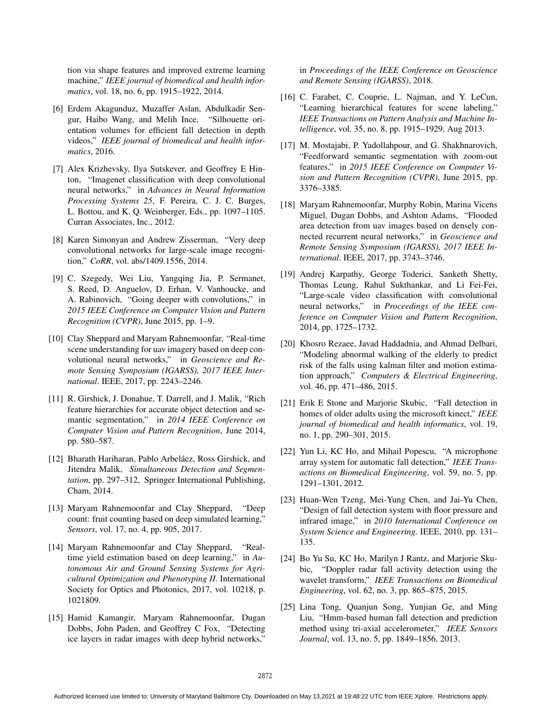tion via shape features and improved extreme learning machine," *IEEE journal of biomedical and health informatics*, vol. 18, no. 6, pp. 1915–1922, 2014.

- [6] Erdem Akagunduz, Muzaffer Aslan, Abdulkadir Sengur, Haibo Wang, and Melih Ince, "Silhouette orientation volumes for efficient fall detection in depth videos," *IEEE journal of biomedical and health informatics*, 2016.
- [7] Alex Krizhevsky, Ilya Sutskever, and Geoffrey E Hinton, "Imagenet classification with deep convolutional neural networks," in *Advances in Neural Information Processing Systems 25*, F. Pereira, C. J. C. Burges, L. Bottou, and K. Q. Weinberger, Eds., pp. 1097–1105. Curran Associates, Inc., 2012.
- [8] Karen Simonyan and Andrew Zisserman, "Very deep convolutional networks for large-scale image recognition," *CoRR*, vol. abs/1409.1556, 2014.
- [9] C. Szegedy, Wei Liu, Yangqing Jia, P. Sermanet, S. Reed, D. Anguelov, D. Erhan, V. Vanhoucke, and A. Rabinovich, "Going deeper with convolutions," in *2015 IEEE Conference on Computer Vision and Pattern Recognition (CVPR)*, June 2015, pp. 1–9.
- [10] Clay Sheppard and Maryam Rahnemoonfar, "Real-time scene understanding for uav imagery based on deep convolutional neural networks," in *Geoscience and Remote Sensing Symposium (IGARSS), 2017 IEEE International*. IEEE, 2017, pp. 2243–2246.
- [11] R. Girshick, J. Donahue, T. Darrell, and J. Malik, "Rich feature hierarchies for accurate object detection and semantic segmentation," in *2014 IEEE Conference on Computer Vision and Pattern Recognition*, June 2014, pp. 580–587.
- [12] Bharath Hariharan, Pablo Arbeláez, Ross Girshick, and Jitendra Malik, *Simultaneous Detection and Segmentation*, pp. 297–312, Springer International Publishing, Cham, 2014.
- [13] Maryam Rahnemoonfar and Clay Sheppard, "Deep count: fruit counting based on deep simulated learning," *Sensors*, vol. 17, no. 4, pp. 905, 2017.
- [14] Maryam Rahnemoonfar and Clay Sheppard, "Realtime yield estimation based on deep learning," in *Autonomous Air and Ground Sensing Systems for Agricultural Optimization and Phenotyping II*. International Society for Optics and Photonics, 2017, vol. 10218, p. 1021809.
- [15] Hamid Kamangir, Maryam Rahnemoonfar, Dugan Dobbs, John Paden, and Geoffrey C Fox, "Detecting ice layers in radar images with deep hybrid networks,"

in *Proceedings of the IEEE Conference on Geoscience and Remote Sensing (IGARSS)*, 2018.

- [16] C. Farabet, C. Couprie, L. Najman, and Y. LeCun, "Learning hierarchical features for scene labeling," *IEEE Transactions on Pattern Analysis and Machine Intelligence*, vol. 35, no. 8, pp. 1915–1929, Aug 2013.
- [17] M. Mostajabi, P. Yadollahpour, and G. Shakhnarovich, "Feedforward semantic segmentation with zoom-out features," in *2015 IEEE Conference on Computer Vision and Pattern Recognition (CVPR)*, June 2015, pp. 3376–3385.
- [18] Maryam Rahnemoonfar, Murphy Robin, Marina Vicens Miguel, Dugan Dobbs, and Ashton Adams, "Flooded area detection from uav images based on densely connected recurrent neural networks," in *Geoscience and Remote Sensing Symposium (IGARSS), 2017 IEEE International*. IEEE, 2017, pp. 3743–3746.
- [19] Andrej Karpathy, George Toderici, Sanketh Shetty, Thomas Leung, Rahul Sukthankar, and Li Fei-Fei, "Large-scale video classification with convolutional neural networks," in *Proceedings of the IEEE conference on Computer Vision and Pattern Recognition*, 2014, pp. 1725–1732.
- [20] Khosro Rezaee, Javad Haddadnia, and Ahmad Delbari, "Modeling abnormal walking of the elderly to predict risk of the falls using kalman filter and motion estimation approach," *Computers & Electrical Engineering*, vol. 46, pp. 471–486, 2015.
- [21] Erik E Stone and Marjorie Skubic, "Fall detection in homes of older adults using the microsoft kinect," *IEEE journal of biomedical and health informatics*, vol. 19, no. 1, pp. 290–301, 2015.
- [22] Yun Li, KC Ho, and Mihail Popescu, "A microphone array system for automatic fall detection," *IEEE Transactions on Biomedical Engineering*, vol. 59, no. 5, pp. 1291–1301, 2012.
- [23] Huan-Wen Tzeng, Mei-Yung Chen, and Jai-Yu Chen, "Design of fall detection system with floor pressure and infrared image," in *2010 International Conference on System Science and Engineering*. IEEE, 2010, pp. 131– 135.
- [24] Bo Yu Su, KC Ho, Marilyn J Rantz, and Marjorie Skubic, "Doppler radar fall activity detection using the wavelet transform," *IEEE Transactions on Biomedical Engineering*, vol. 62, no. 3, pp. 865–875, 2015.
- [25] Lina Tong, Quanjun Song, Yunjian Ge, and Ming Liu, "Hmm-based human fall detection and prediction method using tri-axial accelerometer," *IEEE Sensors Journal*, vol. 13, no. 5, pp. 1849–1856, 2013.

Authorized licensed use limited to: University of Maryland Baltimore Cty. Downloaded on May 13,2021 at 19:48:22 UTC from IEEE Xplore. Restrictions apply.